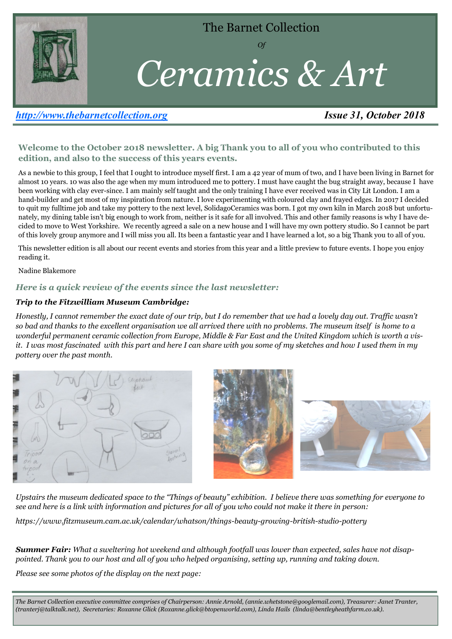

The Barnet Collection

*Of* 

# *Ceramics & Art*

## *[http://www.thebarnetcollection.org](http://www.thebarnetcollection.org/) Issue 31, October 2018*

### **Welcome to the October 2018 newsletter. A big Thank you to all of you who contributed to this edition, and also to the success of this years events.**

As a newbie to this group, I feel that I ought to introduce myself first. I am a 42 year of mum of two, and I have been living in Barnet for almost 10 years. 10 was also the age when my mum introduced me to pottery. I must have caught the bug straight away, because I have been working with clay ever-since. I am mainly self taught and the only training I have ever received was in City Lit London. I am a hand-builder and get most of my inspiration from nature. I love experimenting with coloured clay and frayed edges. In 2017 I decided to quit my fulltime job and take my pottery to the next level, SolidagoCeramics was born. I got my own kiln in March 2018 but unfortunately, my dining table isn't big enough to work from, neither is it safe for all involved. This and other family reasons is why I have decided to move to West Yorkshire. We recently agreed a sale on a new house and I will have my own pottery studio. So I cannot be part of this lovely group anymore and I will miss you all. Its been a fantastic year and I have learned a lot, so a big Thank you to all of you.

This newsletter edition is all about our recent events and stories from this year and a little preview to future events. I hope you enjoy reading it.

Nadine Blakemore

#### *Here is a quick review of the events since the last newsletter:*

#### *Trip to the Fitzwilliam Museum Cambridge:*

*Honestly, I cannot remember the exact date of our trip, but I do remember that we had a lovely day out. Traffic wasn't so bad and thanks to the excellent organisation we all arrived there with no problems. The museum itself is home to a wonderful permanent ceramic collection from Europe, Middle & Far East and the United Kingdom which is worth a visit. I was most fascinated with this part and here I can share with you some of my sketches and how I used them in my pottery over the past month.* 



*Upstairs the museum dedicated space to the "Things of beauty" exhibition. I believe there was something for everyone to see and here is a link with information and pictures for all of you who could not make it there in person:* 

*https://www.fitzmuseum.cam.ac.uk/calendar/whatson/things-beauty-growing-british-studio-pottery*

*Summer Fair: What a sweltering hot weekend and although footfall was lower than expected, sales have not disappointed. Thank you to our host and all of you who helped organising, setting up, running and taking down.* 

*Please see some photos of the display on the next page:* 

*The Barnet Collection executive committee comprises of Chairperson: Annie Arnold, (annie.whetstone@googlemail.com), Treasurer: Janet Tranter, (tranterj@talktalk.net), Secretaries: Roxanne Glick (Roxanne.glick@btopenworld.com), Linda Hails (linda@bentleyheathfarm.co.uk).*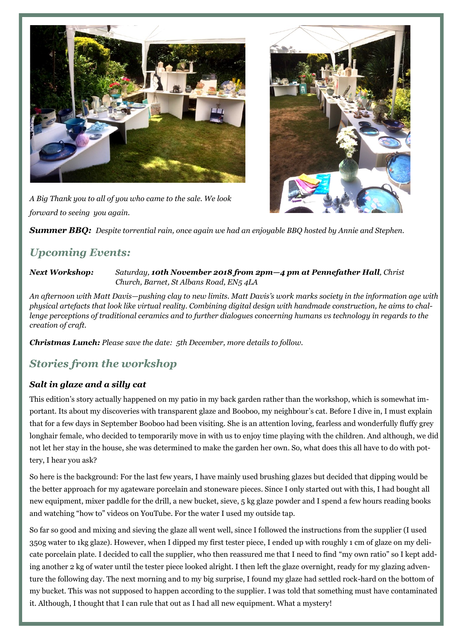



*A Big Thank you to all of you who came to the sale. We look forward to seeing you again.*

*Summer BBQ: Despite torrential rain, once again we had an enjoyable BBQ hosted by Annie and Stephen.* 

# *Upcoming Events:*

*Next Workshop: Saturday, 10th November 2018 from 2pm—4 pm at Pennefather Hall, Christ Church, Barnet, St Albans Road, EN5 4LA*

*An afternoon with Matt Davis—pushing clay to new limits. Matt Davis's work marks society in the information age with physical artefacts that look like virtual reality. Combining digital design with handmade construction, he aims to challenge perceptions of traditional ceramics and to further dialogues concerning humans vs technology in regards to the creation of craft.* 

*Christmas Lunch: Please save the date: 5th December, more details to follow.* 

## *Stories from the workshop*

## *Salt in glaze and a silly cat*

This edition's story actually happened on my patio in my back garden rather than the workshop, which is somewhat important. Its about my discoveries with transparent glaze and Booboo, my neighbour's cat. Before I dive in, I must explain that for a few days in September Booboo had been visiting. She is an attention loving, fearless and wonderfully fluffy grey longhair female, who decided to temporarily move in with us to enjoy time playing with the children. And although, we did not let her stay in the house, she was determined to make the garden her own. So, what does this all have to do with pottery, I hear you ask?

So here is the background: For the last few years, I have mainly used brushing glazes but decided that dipping would be the better approach for my agateware porcelain and stoneware pieces. Since I only started out with this, I had bought all new equipment, mixer paddle for the drill, a new bucket, sieve, 5 kg glaze powder and I spend a few hours reading books and watching "how to" videos on YouTube. For the water I used my outside tap.

So far so good and mixing and sieving the glaze all went well, since I followed the instructions from the supplier (I used 350g water to 1kg glaze). However, when I dipped my first tester piece, I ended up with roughly 1 cm of glaze on my delicate porcelain plate. I decided to call the supplier, who then reassured me that I need to find "my own ratio" so I kept adding another 2 kg of water until the tester piece looked alright. I then left the glaze overnight, ready for my glazing adventure the following day. The next morning and to my big surprise, I found my glaze had settled rock-hard on the bottom of my bucket. This was not supposed to happen according to the supplier. I was told that something must have contaminated it. Although, I thought that I can rule that out as I had all new equipment. What a mystery!